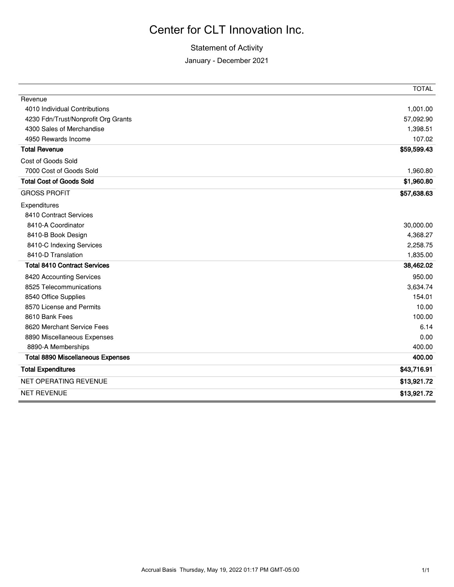## Center for CLT Innovation Inc.

## Statement of Activity

January - December 2021

|                                          | <b>TOTAL</b> |
|------------------------------------------|--------------|
| Revenue                                  |              |
| 4010 Individual Contributions            | 1,001.00     |
| 4230 Fdn/Trust/Nonprofit Org Grants      | 57,092.90    |
| 4300 Sales of Merchandise                | 1,398.51     |
| 4950 Rewards Income                      | 107.02       |
| <b>Total Revenue</b>                     | \$59,599.43  |
| Cost of Goods Sold                       |              |
| 7000 Cost of Goods Sold                  | 1,960.80     |
| <b>Total Cost of Goods Sold</b>          | \$1,960.80   |
| <b>GROSS PROFIT</b>                      | \$57,638.63  |
| Expenditures                             |              |
| 8410 Contract Services                   |              |
| 8410-A Coordinator                       | 30,000.00    |
| 8410-B Book Design                       | 4,368.27     |
| 8410-C Indexing Services                 | 2,258.75     |
| 8410-D Translation                       | 1,835.00     |
| <b>Total 8410 Contract Services</b>      | 38,462.02    |
| 8420 Accounting Services                 | 950.00       |
| 8525 Telecommunications                  | 3,634.74     |
| 8540 Office Supplies                     | 154.01       |
| 8570 License and Permits                 | 10.00        |
| 8610 Bank Fees                           | 100.00       |
| 8620 Merchant Service Fees               | 6.14         |
| 8890 Miscellaneous Expenses              | 0.00         |
| 8890-A Memberships                       | 400.00       |
| <b>Total 8890 Miscellaneous Expenses</b> | 400.00       |
| <b>Total Expenditures</b>                | \$43,716.91  |
| NET OPERATING REVENUE                    | \$13,921.72  |
| <b>NET REVENUE</b>                       | \$13,921.72  |